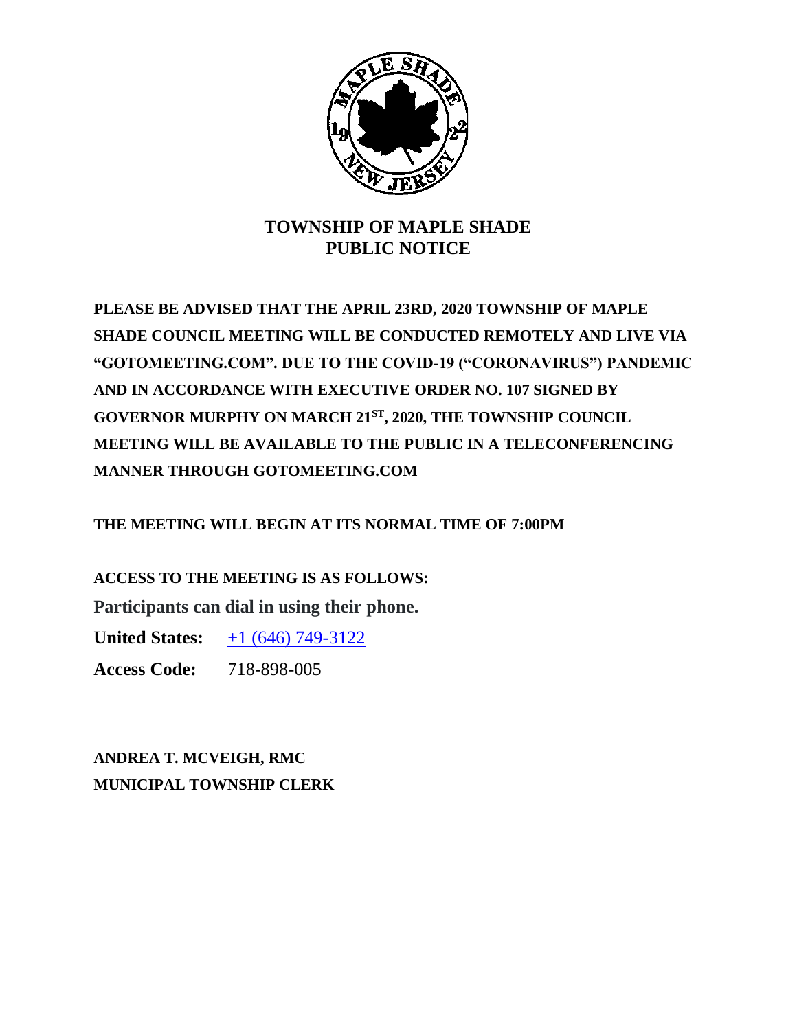

## **TOWNSHIP OF MAPLE SHADE PUBLIC NOTICE**

**PLEASE BE ADVISED THAT THE APRIL 23RD, 2020 TOWNSHIP OF MAPLE SHADE COUNCIL MEETING WILL BE CONDUCTED REMOTELY AND LIVE VIA "GOTOMEETING.COM". DUE TO THE COVID-19 ("CORONAVIRUS") PANDEMIC AND IN ACCORDANCE WITH EXECUTIVE ORDER NO. 107 SIGNED BY GOVERNOR MURPHY ON MARCH 21ST, 2020, THE TOWNSHIP COUNCIL MEETING WILL BE AVAILABLE TO THE PUBLIC IN A TELECONFERENCING MANNER THROUGH GOTOMEETING.COM**

**THE MEETING WILL BEGIN AT ITS NORMAL TIME OF 7:00PM**

**ACCESS TO THE MEETING IS AS FOLLOWS:**

**Participants can dial in using their phone.**

**United States:**  $\pm 1$  (646) 749-3122

**Access Code:** 718-898-005

**ANDREA T. MCVEIGH, RMC MUNICIPAL TOWNSHIP CLERK**